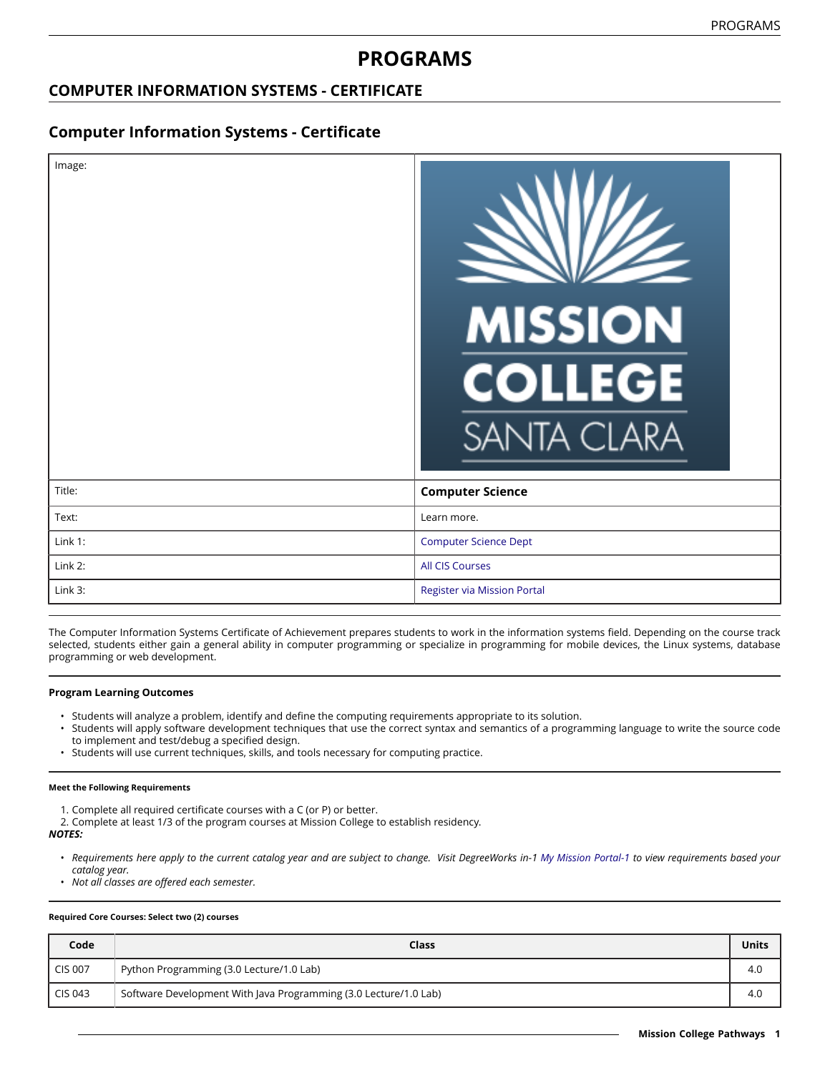# **PROGRAMS**

### **COMPUTER INFORMATION SYSTEMS - CERTIFICATE**

### **Computer Information Systems - Certificate**

| Image:  | <b>MISSION</b><br><b>COLLEGE</b><br><b>SANTA CLARA</b> |
|---------|--------------------------------------------------------|
| Title:  | <b>Computer Science</b>                                |
| Text:   | Learn more.                                            |
| Link 1: | <b>Computer Science Dept</b>                           |
| Link 2: | <b>All CIS Courses</b>                                 |
| Link 3: | <b>Register via Mission Portal</b>                     |

The Computer Information Systems Certificate of Achievement prepares students to work in the information systems field. Depending on the course track selected, students either gain a general ability in computer programming or specialize in programming for mobile devices, the Linux systems, database programming or web development.

### **Program Learning Outcomes**

- Students will analyze a problem, identify and define the computing requirements appropriate to its solution.
- Students will apply software development techniques that use the correct syntax and semantics of a programming language to write the source code to implement and test/debug a specified design.
- Students will use current techniques, skills, and tools necessary for computing practice.

#### **Meet the Following Requirements**

- 1. Complete all required certificate courses with a C (or P) or better.
- 2. Complete at least 1/3 of the program courses at Mission College to establish residency. *NOTES:*
	- · Requirements here apply to the current catalog year and are subject to change. Visit DegreeWorks in-1 [My Mission Portal-1](https://wvmccd.sharepoint.com/sites/MCPortal) to view requirements based your *catalog year.*
	- *Not all classes are offered each semester.*

#### **Required Core Courses: Select two (2) courses**

| Code           | <b>Class</b>                                                     | Units |
|----------------|------------------------------------------------------------------|-------|
| <b>CIS 007</b> | Python Programming (3.0 Lecture/1.0 Lab)                         | 4.0   |
| CIS 043        | Software Development With Java Programming (3.0 Lecture/1.0 Lab) | 4.0   |